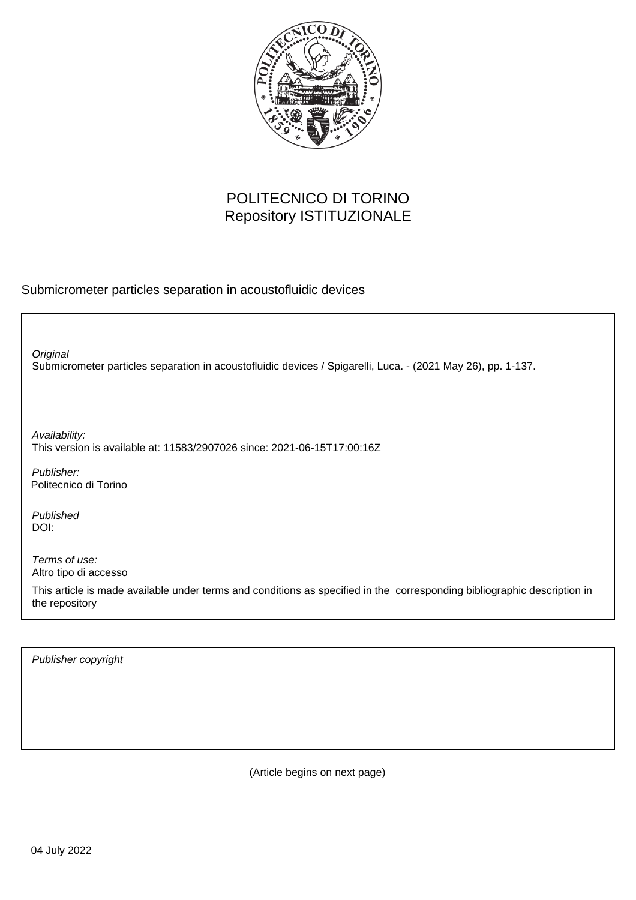

## POLITECNICO DI TORINO Repository ISTITUZIONALE

Submicrometer particles separation in acoustofluidic devices

Submicrometer particles separation in acoustofluidic devices / Spigarelli, Luca. - (2021 May 26), pp. 1-137. **Original** Publisher: Published DOI: Terms of use: Altro tipo di accesso This article is made available under terms and conditions as specified in the corresponding bibliographic description in the repository Availability: This version is available at: 11583/2907026 since: 2021-06-15T17:00:16Z Politecnico di Torino

Publisher copyright

(Article begins on next page)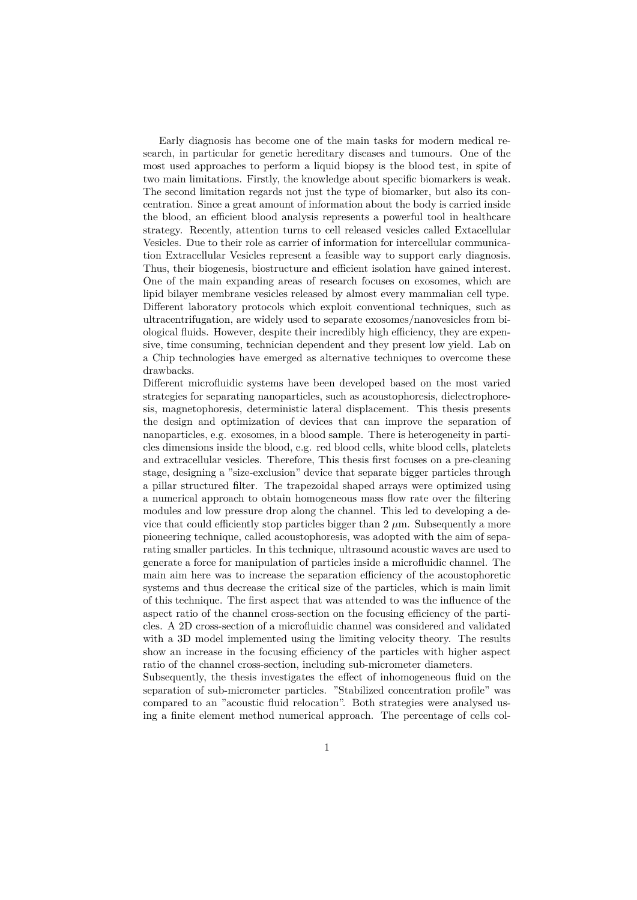Early diagnosis has become one of the main tasks for modern medical research, in particular for genetic hereditary diseases and tumours. One of the most used approaches to perform a liquid biopsy is the blood test, in spite of two main limitations. Firstly, the knowledge about specific biomarkers is weak. The second limitation regards not just the type of biomarker, but also its concentration. Since a great amount of information about the body is carried inside the blood, an efficient blood analysis represents a powerful tool in healthcare strategy. Recently, attention turns to cell released vesicles called Extacellular Vesicles. Due to their role as carrier of information for intercellular communication Extracellular Vesicles represent a feasible way to support early diagnosis. Thus, their biogenesis, biostructure and efficient isolation have gained interest. One of the main expanding areas of research focuses on exosomes, which are lipid bilayer membrane vesicles released by almost every mammalian cell type. Different laboratory protocols which exploit conventional techniques, such as ultracentrifugation, are widely used to separate exosomes/nanovesicles from biological fluids. However, despite their incredibly high efficiency, they are expensive, time consuming, technician dependent and they present low yield. Lab on a Chip technologies have emerged as alternative techniques to overcome these drawbacks.

Different microfluidic systems have been developed based on the most varied strategies for separating nanoparticles, such as acoustophoresis, dielectrophoresis, magnetophoresis, deterministic lateral displacement. This thesis presents the design and optimization of devices that can improve the separation of nanoparticles, e.g. exosomes, in a blood sample. There is heterogeneity in particles dimensions inside the blood, e.g. red blood cells, white blood cells, platelets and extracellular vesicles. Therefore, This thesis first focuses on a pre-cleaning stage, designing a "size-exclusion" device that separate bigger particles through a pillar structured filter. The trapezoidal shaped arrays were optimized using a numerical approach to obtain homogeneous mass flow rate over the filtering modules and low pressure drop along the channel. This led to developing a device that could efficiently stop particles bigger than  $2 \mu m$ . Subsequently a more pioneering technique, called acoustophoresis, was adopted with the aim of separating smaller particles. In this technique, ultrasound acoustic waves are used to generate a force for manipulation of particles inside a microfluidic channel. The main aim here was to increase the separation efficiency of the acoustophoretic systems and thus decrease the critical size of the particles, which is main limit of this technique. The first aspect that was attended to was the influence of the aspect ratio of the channel cross-section on the focusing efficiency of the particles. A 2D cross-section of a microfluidic channel was considered and validated with a 3D model implemented using the limiting velocity theory. The results show an increase in the focusing efficiency of the particles with higher aspect ratio of the channel cross-section, including sub-micrometer diameters.

Subsequently, the thesis investigates the effect of inhomogeneous fluid on the separation of sub-micrometer particles. "Stabilized concentration profile" was compared to an "acoustic fluid relocation". Both strategies were analysed using a finite element method numerical approach. The percentage of cells col